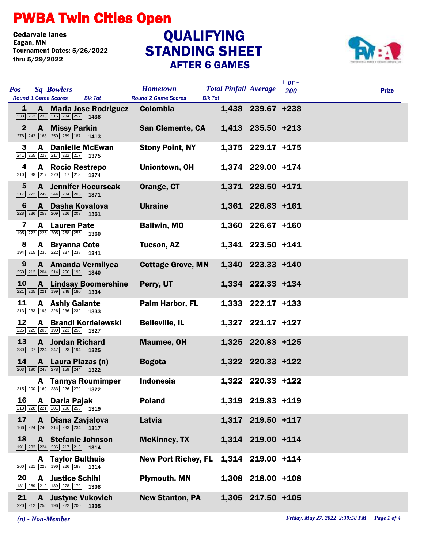## PWBA Twin Cities Open

Cedarvale lanes<br>Eagan, MN Tournament Dates: 5/26/2022 thru 5/29/2022

## STANDING SHEET AFTER 6 GAMES **QUALIFYING**



|                                          |                                                                                                                                |                              |                                               |                                                |                     | $+$ or $-$ |              |
|------------------------------------------|--------------------------------------------------------------------------------------------------------------------------------|------------------------------|-----------------------------------------------|------------------------------------------------|---------------------|------------|--------------|
| <b>Pos</b><br><b>Round 1 Game Scores</b> | <b>Sq Bowlers</b>                                                                                                              | <b>Blk Tot</b>               | <b>Hometown</b><br><b>Round 2 Game Scores</b> | <b>Total Pinfall Average</b><br><b>Blk Tot</b> |                     | 200        | <b>Prize</b> |
| 1                                        | $\boxed{233}$ $\boxed{263}$ $\boxed{235}$ $\boxed{216}$ $\boxed{234}$ $\boxed{257}$ <b>1438</b>                                | A Maria Jose Rodriguez       | <b>Colombia</b>                               |                                                | 1,438 239.67 +238   |            |              |
| $\mathbf{2}$                             | <b>A</b> Missy Parkin<br>276 243 168 250 289 187 1413                                                                          |                              | <b>San Clemente, CA</b>                       |                                                | 1,413 235.50 +213   |            |              |
| 3                                        | <b>A</b> Danielle McEwan<br>$\boxed{241}$ $\boxed{255}$ $\boxed{223}$ $\boxed{217}$ $\boxed{222}$ $\boxed{217}$ <b>1375</b>    |                              | <b>Stony Point, NY</b>                        |                                                | 1,375 229.17 +175   |            |              |
| 4                                        | A Rocio Restrepo<br>$\boxed{210}$ $\boxed{238}$ $\boxed{217}$ $\boxed{279}$ $\boxed{217}$ $\boxed{213}$ <b>1374</b>            |                              | Uniontown, OH                                 |                                                | 1,374 229.00 +174   |            |              |
| 5                                        | <b>A</b> Jennifer Hocurscak<br>$\boxed{217}$ $\boxed{222}$ $\boxed{249}$ $\boxed{244}$ $\boxed{234}$ $\boxed{205}$ <b>1371</b> |                              | Orange, CT                                    |                                                | 1,371 228.50 +171   |            |              |
| 6                                        | A Dasha Kovalova<br>$\sqrt{228}$ $\sqrt{236}$ $\sqrt{259}$ $\sqrt{209}$ $\sqrt{226}$ $\sqrt{203}$ 1361                         |                              | <b>Ukraine</b>                                |                                                | 1,361 226.83 +161   |            |              |
| 7                                        | <b>A</b> Lauren Pate<br>195 222 225 205 258 255 1360                                                                           |                              | <b>Ballwin, MO</b>                            |                                                | $1,360$ 226.67 +160 |            |              |
| 8                                        | <b>A</b> Bryanna Cote<br>194 215 235 222 237 238 1341                                                                          |                              | Tucson, AZ                                    |                                                | 1,341 223.50 +141   |            |              |
| 9                                        | A Amanda Vermilyea<br>258 212 204 214 256 196 1340                                                                             |                              | <b>Cottage Grove, MN</b>                      |                                                | 1,340 223.33 +140   |            |              |
| 10                                       | 221 265 221 199 248 180 1334                                                                                                   | <b>A</b> Lindsay Boomershine | Perry, UT                                     |                                                | 1,334 222.33 +134   |            |              |
| 11                                       | <b>A</b> Ashly Galante<br>213 233 193 226 236 232 1333                                                                         |                              | Palm Harbor, FL                               |                                                | $1,333$ 222.17 +133 |            |              |
| 12                                       | A Brandi Kordelewski<br>226 225 205 190 223 258 1327                                                                           |                              | <b>Belleville, IL</b>                         |                                                | 1,327 221.17 +127   |            |              |
| 13                                       | <b>A</b> Jordan Richard<br>$\boxed{230}$ $\boxed{207}$ $\boxed{224}$ $\boxed{247}$ $\boxed{223}$ $\boxed{194}$ <b>1325</b>     |                              | <b>Maumee, OH</b>                             |                                                | 1,325 220.83 +125   |            |              |
| 14                                       | A Laura Plazas (n)<br>$\boxed{203}$ 190 $\boxed{248}$ $\boxed{278}$ 159 $\boxed{244}$ 1322                                     |                              | <b>Bogota</b>                                 |                                                | 1,322 220.33 +122   |            |              |
|                                          | <b>A</b> Tannya Roumimper<br>215 200 169 233 226 279 1322                                                                      |                              | <b>Indonesia</b>                              |                                                | 1,322 220.33 +122   |            |              |
| 16                                       | A Daria Pajak<br>$\boxed{213}$ $\boxed{228}$ $\boxed{221}$ $\boxed{201}$ $\boxed{200}$ $\boxed{256}$ 1319                      |                              | <b>Poland</b>                                 |                                                | 1,319 219.83 +119   |            |              |
| 17                                       | A Diana Zavjalova<br>$\boxed{166}$ $\boxed{224}$ $\boxed{246}$ $\boxed{214}$ $\boxed{233}$ $\boxed{234}$ <b>1317</b>           |                              | Latvia                                        |                                                | 1,317 219.50 +117   |            |              |
| 18                                       | A Stefanie Johnson<br>[191 233 224 236 217 213 1314                                                                            |                              | <b>McKinney, TX</b>                           |                                                | 1,314 219.00 +114   |            |              |
|                                          | <b>A</b> Taylor Bulthuis<br>260 221 228 196 226 183 1314                                                                       |                              | <b>New Port Richey, FL</b>                    |                                                | 1,314 219.00 +114   |            |              |
| 20                                       | <b>A</b> Justice Schihl<br>181 269 212 189 278 179 1308                                                                        |                              | <b>Plymouth, MN</b>                           |                                                | 1,308 218.00 +108   |            |              |
| 21                                       | <b>A</b> Justyne Vukovich<br>$\boxed{220}\boxed{212}\boxed{255}\boxed{196}\boxed{222}\boxed{200}$ 1305                         |                              | <b>New Stanton, PA</b>                        |                                                | $1,305$ 217.50 +105 |            |              |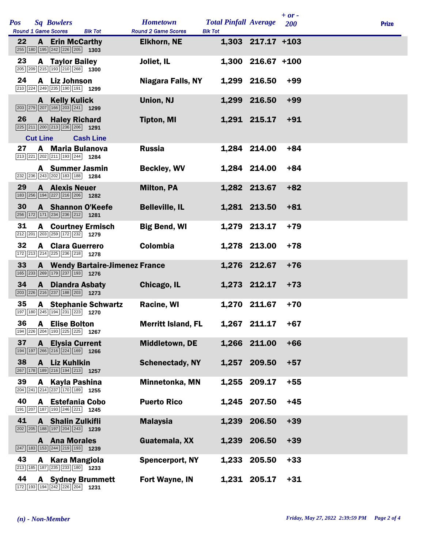|            |                 |                                                                                                                          |                                        |                                               |                                                |                     | $+ or -$ |              |
|------------|-----------------|--------------------------------------------------------------------------------------------------------------------------|----------------------------------------|-----------------------------------------------|------------------------------------------------|---------------------|----------|--------------|
| <b>Pos</b> |                 | <b>Sq Bowlers</b><br><b>Round 1 Game Scores</b>                                                                          | <b>Blk Tot</b>                         | <b>Hometown</b><br><b>Round 2 Game Scores</b> | <b>Total Pinfall Average</b><br><b>Blk Tot</b> |                     | 200      | <b>Prize</b> |
| 22         |                 | <b>A</b> Erin McCarthy<br>255 180 195 242 226 205 1303                                                                   |                                        | <b>Elkhorn, NE</b>                            |                                                | $1,303$ 217.17 +103 |          |              |
| 23         |                 | <b>A</b> Taylor Bailey<br>205 209 215 193 210 268 1300                                                                   |                                        | Joliet, IL                                    |                                                | 1,300 216.67 +100   |          |              |
| 24         |                 | A Liz Johnson<br>210 224 249 235 190 191 1299                                                                            |                                        | Niagara Falls, NY                             |                                                | 1,299 216.50        | $+99$    |              |
|            | A               | <b>Kelly Kulick</b><br>203 279 207 166 203 241 1299                                                                      |                                        | Union, NJ                                     |                                                | 1,299 216.50        | $+99$    |              |
| 26         | $\mathbf{A}$    | <b>Haley Richard</b><br>225 211 200 213 236 206 1291                                                                     |                                        | <b>Tipton, MI</b>                             |                                                | 1,291 215.17        | $+91$    |              |
|            | <b>Cut Line</b> |                                                                                                                          | <b>Cash Line</b>                       |                                               |                                                |                     |          |              |
| 27         |                 | A Maria Bulanova<br>213 221 202 211 193 244 1284                                                                         |                                        | <b>Russia</b>                                 |                                                | 1,284 214.00        | $+84$    |              |
|            |                 | A Summer Jasmin<br>232 236 243 202 183 188 1284                                                                          |                                        | <b>Beckley, WV</b>                            |                                                | 1,284 214.00        | $+84$    |              |
| 29         |                 | <b>A</b> Alexis Neuer<br>183 256 194 227 216 206 1282                                                                    |                                        | <b>Milton, PA</b>                             |                                                | 1,282 213.67        | $+82$    |              |
| 30         |                 | A Shannon O'Keefe<br>256 172 171 234 236 212                                                                             | 1281                                   | <b>Belleville, IL</b>                         |                                                | 1,281 213.50        | $+81$    |              |
| 31         |                 | $\boxed{212}$ $\boxed{201}$ $\boxed{203}$ $\boxed{259}$ $\boxed{172}$ $\boxed{232}$ <b>1279</b>                          | <b>A</b> Courtney Ermisch              | <b>Big Bend, WI</b>                           |                                                | 1,279 213.17        | $+79$    |              |
| 32         |                 | <b>A</b> Clara Guerrero<br>172 213 214 225 236 218 1278                                                                  |                                        | Colombia                                      |                                                | 1,278 213.00        | $+78$    |              |
| 33         |                 | 165 233 269 179 237 193 1276                                                                                             | <b>A</b> Wendy Bartaire-Jimenez France |                                               |                                                | 1,276 212.67        | $+76$    |              |
| 34         | $\mathbf{A}$    | <b>Diandra Asbaty</b><br>$\boxed{203}$ $\boxed{226}$ $\boxed{216}$ $\boxed{237}$ $\boxed{188}$ $\boxed{203}$ <b>1273</b> |                                        | Chicago, IL                                   |                                                | 1,273 212.17        | $+73$    |              |
| 35         |                 | 197 180 245 194 231 223 1270                                                                                             | <b>A</b> Stephanie Schwartz            | <b>Racine, WI</b>                             |                                                | 1,270 211.67        | $+70$    |              |
|            |                 | 36 A Elise Bolton<br>194 226 204 193 225 225 1267                                                                        |                                        | <b>Merritt Island, FL</b>                     |                                                | 1,267 211.17        | $+67$    |              |
| 37         |                 | <b>A</b> Elysia Current<br>$\boxed{194}$ $\boxed{197}$ $\boxed{266}$ $\boxed{216}$ $\boxed{224}$ $\boxed{169}$ 1266      |                                        | Middletown, DE                                |                                                | 1,266 211.00        | $+66$    |              |
| 38         | A               | <b>Liz Kuhlkin</b><br>267 178 189 216 194 213 1257                                                                       |                                        | <b>Schenectady, NY</b>                        |                                                | 1,257 209.50        | $+57$    |              |
| 39         | A               | Kayla Pashina<br>$\boxed{204}$ $\boxed{241}$ $\boxed{214}$ $\boxed{237}$ $\boxed{170}$ $\boxed{189}$ <b>1255</b>         |                                        | Minnetonka, MN                                | 1,255                                          | 209.17              | $+55$    |              |
| 40         |                 | A Estefania Cobo<br>191 207 187 193 246 221 1245                                                                         |                                        | <b>Puerto Rico</b>                            |                                                | 1,245 207.50        | $+45$    |              |
| 41         | A               | <b>Shalin Zulkifli</b><br>$\boxed{202}$ $\boxed{205}$ 188 197 204 243 1239                                               |                                        | <b>Malaysia</b>                               | 1,239                                          | 206.50              | $+39$    |              |
|            |                 | <b>A</b> Ana Morales<br>$\boxed{247}$ 183 153 244 219 193 1239                                                           |                                        | Guatemala, XX                                 |                                                | 1,239 206.50        | $+39$    |              |
| 43         |                 | A Kara Mangiola<br>213 185 187 235 233 180 1233                                                                          |                                        | <b>Spencerport, NY</b>                        |                                                | 1,233 205.50        | $+33$    |              |
| 44         |                 | 172 193 194 242 226 204 1231                                                                                             | <b>A</b> Sydney Brummett               | Fort Wayne, IN                                |                                                | 1,231 205.17        | $+31$    |              |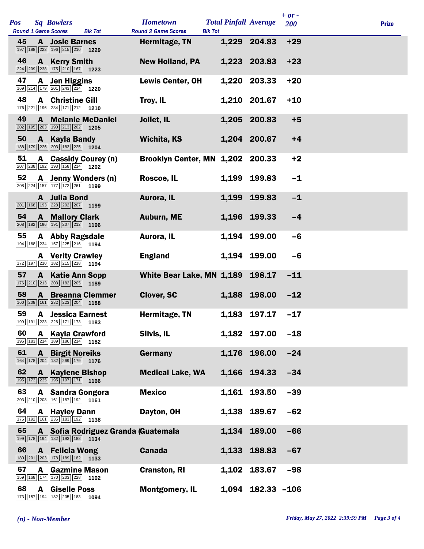|     |    |              |                                                                                                                |                                     |                                               |                                                |                     | $+ or -$ |              |
|-----|----|--------------|----------------------------------------------------------------------------------------------------------------|-------------------------------------|-----------------------------------------------|------------------------------------------------|---------------------|----------|--------------|
| Pos |    |              | <b>Sq Bowlers</b><br><b>Round 1 Game Scores</b>                                                                | <b>Blk Tot</b>                      | <b>Hometown</b><br><b>Round 2 Game Scores</b> | <b>Total Pinfall Average</b><br><b>Blk Tot</b> |                     | 200      | <b>Prize</b> |
|     | 45 |              | <b>A</b> Josie Barnes<br>197 188 223 196 215 210 1229                                                          |                                     | Hermitage, TN                                 |                                                | 1,229 204.83        | $+29$    |              |
|     | 46 | $\mathbf{A}$ | <b>Kerry Smith</b><br>$\boxed{224}$ $\boxed{209}$ $\boxed{238}$ $\boxed{175}$ $\boxed{210}$ $\boxed{167}$ 1223 |                                     | <b>New Holland, PA</b>                        |                                                | 1,223 203.83        | $+23$    |              |
|     | 47 | A            | <b>Jen Higgins</b><br>$\boxed{169}\boxed{214}\boxed{179}\boxed{201}\boxed{243}\boxed{214}$ 1220                |                                     | <b>Lewis Center, OH</b>                       | 1,220                                          | 203.33              | $+20$    |              |
|     | 48 |              | <b>A</b> Christine Gill<br>176 221 196 234 171 212 1210                                                        |                                     | Troy, IL                                      |                                                | 1,210 201.67        | $+10$    |              |
|     | 49 | A            | 202 195 203 190 213 202 1205                                                                                   | <b>Melanie McDaniel</b>             | Joliet, IL                                    |                                                | 1,205 200.83        | $+5$     |              |
|     | 50 |              | A Kayla Bandy<br>188 179 226 203 183 225 1204                                                                  |                                     | Wichita, KS                                   |                                                | 1,204 200.67        | $+4$     |              |
|     | 51 |              | 207 238 192 193 158 214 1202                                                                                   | A Cassidy Courey (n)                | Brooklyn Center, MN 1,202 200.33              |                                                |                     | $+2$     |              |
|     | 52 | A            | $\boxed{208}\boxed{224}\boxed{157}\boxed{177}\boxed{172}\boxed{261}$ 1199                                      | <b>Jenny Wonders (n)</b>            | Roscoe, IL                                    | 1,199                                          | 199.83              | $-1$     |              |
|     |    |              | A Julia Bond<br>$\boxed{201}$ 168 $\boxed{193}$ $\boxed{228}$ $\boxed{202}$ $\boxed{207}$ 1199                 |                                     | Aurora, IL                                    | 1,199                                          | 199.83              | $-1$     |              |
|     | 54 |              | <b>A</b> Mallory Clark<br>$\boxed{208}$ 182 196 191 207 212 1196                                               |                                     | <b>Auburn, ME</b>                             |                                                | 1,196 199.33        | $-4$     |              |
|     | 55 |              | A Abby Ragsdale<br>194 168 234 157 225 216 1194                                                                |                                     | Aurora, IL                                    |                                                | 1,194 199.00        | $-6$     |              |
|     |    |              | <b>A</b> Verity Crawley<br>172 197 210 182 215 218 1194                                                        |                                     | <b>England</b>                                |                                                | 1,194 199.00        | $-6$     |              |
|     | 57 | $\mathbf{A}$ | <b>Katie Ann Sopp</b><br>176 210 213 203 182 205 189                                                           |                                     | White Bear Lake, MN 1,189 198.17              |                                                |                     | $-11$    |              |
|     | 58 |              | 160 208 161 232 223 204                                                                                        | <b>A</b> Breanna Clemmer<br>1188    | <b>Clover, SC</b>                             |                                                | 1,188 198.00        | $-12$    |              |
|     | 59 |              | <b>A</b> Jessica Earnest<br>199 191 223 226 171 173 1183                                                       |                                     | Hermitage, TN                                 |                                                | 1,183 197.17        | $-17$    |              |
|     | 60 | A            | <b>Kayla Crawford</b><br>196 183 214 189 186 214 182                                                           |                                     | Silvis, IL                                    |                                                | 1,182 197.00        | $-18$    |              |
|     | 61 | $\mathbf{A}$ | <b>Birgit Noreiks</b><br>164 178 204 182 269 179 1776                                                          |                                     | Germany                                       |                                                | 1,176 196.00        | $-24$    |              |
|     | 62 | A            | <b>Kaylene Bishop</b><br>195 173 235 195 197 171 166                                                           |                                     | <b>Medical Lake, WA</b>                       |                                                | 1,166 194.33        | $-34$    |              |
|     | 63 |              | A Sandra Gongora<br>$\boxed{203}\boxed{210}\boxed{208}\boxed{161}\boxed{187}\boxed{192}$ 1161                  |                                     | <b>Mexico</b>                                 | 1,161                                          | 193.50              | $-39$    |              |
|     | 64 | A            | <b>Hayley Dann</b><br>175 192 161 235 183 192 1138                                                             |                                     | Dayton, OH                                    |                                                | 1,138 189.67        | $-62$    |              |
|     | 65 |              | 199 178 194 182 193 188 1134                                                                                   | A Sofia Rodriguez Granda (Guatemala |                                               | 1,134                                          | 189.00              | $-66$    |              |
|     | 66 |              | <b>A</b> Felicia Wong<br>180 201 203 178 189 182 1133                                                          |                                     | <b>Canada</b>                                 |                                                | 1,133 188.83        | $-67$    |              |
|     | 67 | A            | <b>Gazmine Mason</b><br>159 168 174 170 203 228 1102                                                           |                                     | <b>Cranston, RI</b>                           |                                                | 1,102 183.67        | $-98$    |              |
|     | 68 | A            | <b>Giselle Poss</b><br>173 157 194 182 205 183                                                                 | 1094                                | <b>Montgomery, IL</b>                         |                                                | $1,094$ 182.33 -106 |          |              |